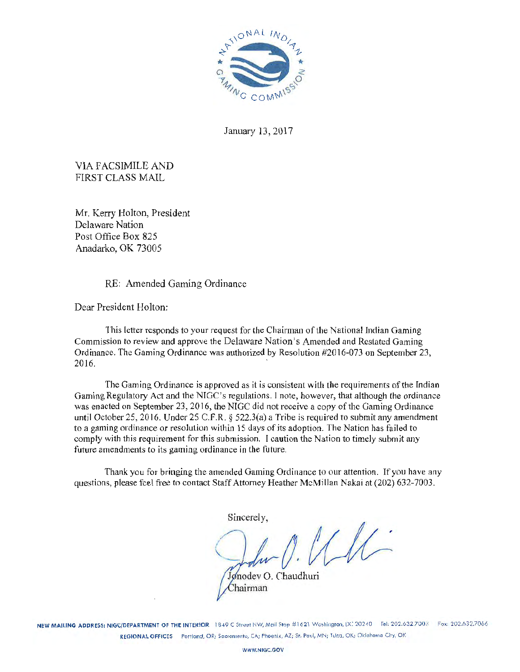

January 13, 2017

VIA FACSIMILE AND FIRST CLASS MAIL

Mr. Kerry Holton, President Delaware Nation Post Office Box 825 Anadarko, OK 73005

RE: Amended Gaming Ordinance

Dear President Holton:

This letter responds to your request for the Chairman of the National Indian Gaming Commission *to* review *and* approve the Delaware Nation's Amended and Restated Gaming Ordinance. The Gaming Ordinance was authorized by Resolution #2016-073 on September 23,  $2016.$ 

The Gaming Ordinance is approved as it is consistent with the requirements of the Indian Gaming Regulatory Act and the NIGC's regulations. I note, however, that although the ordinance was enacted on September 23, 2016, the NIGC did not receive a copy of the Gaming Ordinance until October 25, 2016. Under 25 C.F.R. § 522.3(a) a Tribe is required to submit any amendment to a gaming ordinance or resolution within 15 days of its adoption. The Nation has fai led to comply with this requirement for this submission. I caution the Nation to timely submit any future amendments to its gaming ordinance in the future.

Thank you for bringing the amended Gaming Ordinance to our attention. If you have any questions, please foel free to contact Staff Attorney Heather McMillan Nakai at (202) 632-7003.

Sincerely,  $\frac{1}{1}$  $\sqrt{ }$ . Jonodev O. Chaudhuri

NEW MAILING ADDRESS: NIGC/DEPARTMENT OF THE INTERIOR 1849 C Street NW, Mail Stop #1621 Washington, DC 20240 Tel: 202.632.7003 Fox: 202.632.7066 REGIONAL OFFICES Portland, OR; Sacramento, CA; Phoenix, AZ; St. Pavl, MN; Tulsa, OK; Oklahoma City, OK

hairman

WWW.NIGC.GOV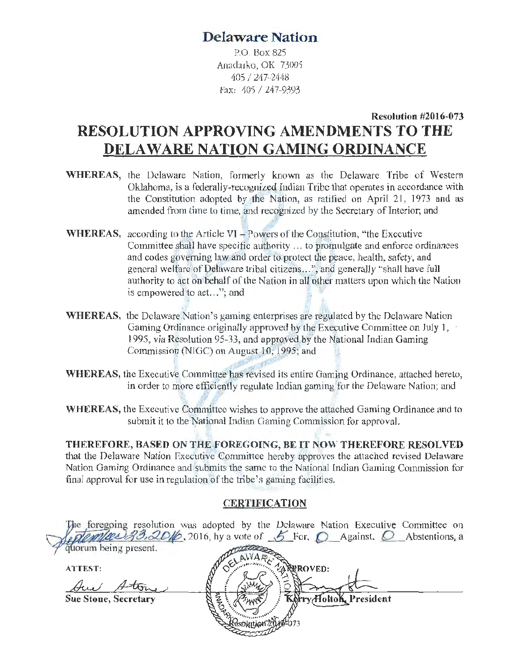# **Delaware Nation.**

P.O. Box 825 Anadarko, OK 73005 405 / 247-2448 Fax: 105 I 247-9393

# **Resolution #2016-073 RESOLUTION APPROVING AMENDMENTS TO THE DELA WARE NATION GAMING ORDINANCE**

- **WHEREAS,** the Delaware Nation, formerly known as the Delaware Tribe of Western Oklahoma, is a federally-recognized Indian Tribe that operates in accordance with the Constitution adopted by the Nation, as ratified on April 21, 1973 and as amended from time to time, and recognized hy the Secretary of Interior; and
- **WHEREAS,** according to the Article VI Powers of the Constitution, "the Executive Committee shall have specific authority ... to promulgate and enforce ordinances and codes governing law and order to protect the peace, health, safety, and general welfare of Delaware tribal citizens...", and generally "shall have full authority to act on behalf of the Nation in all other matters upon which the Nation is empowered to act..."; and
- WHEREAS, the Delaware Nation's gaming enterprises are regulated by the Delaware Nation Gaming Ordinance originally approved by the Executive Committee on July 1, 1995, via Resolution 95-33, and approved by the National Indian Gaming Commission (NIGC) on August 10, 1995; and
- **WHEREAS, the Executive Committee has revised its entire Gaming Ordinance, attached hereto,** in order to more efficiently regulate Indian gaming for the Delaware Nation; and
- **WHEREAS,** the Executive Committee wishes to approve the attached Gaming Ordinance and to submit it to the National Indian Gaming Commission for approval.

**THEREFORE, BASED ON THE FOREGOING, BE IT NOW THEREFORE RESOLVED** that the Delaware Nation Executive Committee hereby approves the attached revised Delaware Nation Gaming Ordinance and submits the same to the National Indian Gaming Commission for final approval for use in regulation of the tribe's gaming facilities.

# **CERTIFICATION**

|                             | The foregoing resolution was adopted by the Delaware Nation Executive Committee on<br>2333,2016, 2016, hy a vote of 5 For, O Against, O Abstentions, a |
|-----------------------------|--------------------------------------------------------------------------------------------------------------------------------------------------------|
| quorum being present.       |                                                                                                                                                        |
| <b>ATTEST:</b>              | <b>REROVED:</b>                                                                                                                                        |
|                             |                                                                                                                                                        |
| <b>Sue Stone, Secretary</b> | ry/HoltoK, President                                                                                                                                   |
|                             |                                                                                                                                                        |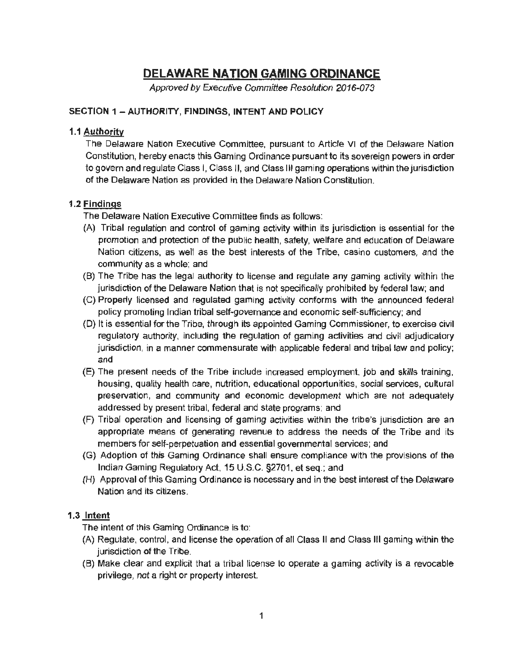# **DELAWARE NATION GAMING ORDINANCE**

Approved by Executive Committee Resolution 2016-073

# SECTION 1 - AUTHORITY, FINDINGS, INTENT AND POLICY

## 1.1 Authority

The Delaware Nation Executive Committee, pursuant to Article VI of the Delaware Nation Constitution, hereby enacts this Gaming Ordinance pursuant to its sovereign powers in order to govern and regulate Class I, Class II, and Class Ill gaming operations within the jurisdiction of the Delaware Nation as provided in the Delaware Nation Constitution.

# 1.2 Findings

The Delaware Nation Executive Committee finds as follows:

- (A) Tribal regulation and control of gaming activity within its jurisdiction is essential for the promotion and protection of the public health, safety, welfare and education of Delaware Nation citizens, as well as the best interests of the Tribe, casino customers, and the community as a whole; and
- (B) The Tribe has the legal authority to license and regulate any gaming activity within the jurisdiction of the Delaware Nation that is not specifically prohibited by federal law; and
- (C) Properly licensed and regulated gaming activity conforms with the announced federal policy promoting Indian tribal self-governance and economic self-sufficiency; and
- (D) It is essential for the Tribe, through its appointed Gaming Commissioner, to exercise civil regulatory authority, including the regulation of gaming activities and civil adjudicatory jurisdiction, in a manner commensurate with applicable federal and tribal law and policy; and
- (E) The present needs of the Tribe include increased employment, job and skills training , housing, quality health care, nutrition, educational opportunities, social services, cultural preservation, and community and economic development which are not adequately addressed by present tribal, federal and state programs; and
- (F) Tribal operation and licensing of gaming activities within the tribe's jurisdiction are an appropriate means of generating revenue to address the needs of the Tribe and its members for self-perpetuation and essential governmental services; and
- (G) Adoption of this Gaming Ordinance shall ensure compliance with the provisions of the Indian Gaming Regulatory Act, 15 U.S.C. §2701, et seq.; and
- (H) Approval of this Gaming Ordinance is necessary and in the best interest of the Delaware Nation and its citizens.

# 1.3 Intent

The intent of this Gaming Ordinance is to:

- (A) Regulate, control, and license the operation of all Class II and Class Ill gaming within the jurisdiction of the Tribe.
- (8) Make clear and explicit that a tribal license to operate a gaming activity is a revocable privilege, not a right or property interest.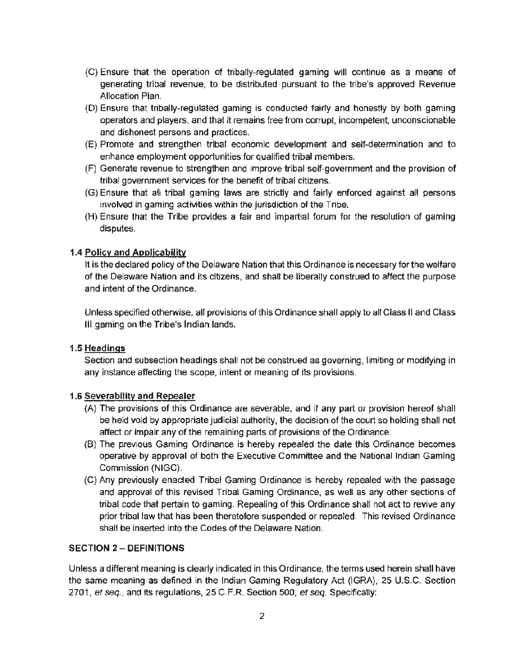- (C} Ensure that the operation of tribally-regulated gaming will continue as a means of generating tribal revenue, to be distributed pursuant to the tribe's approved Revenue Allocation Plan.
- (D) Ensure that tribally-regulated gaming is conducted fairly and honestly by both gaming operators and players, and that it remains free from corrupt, incompetent, unconscionable and dishonest persons and practices.
- (E) Promote and strengthen tribal economic development and self ~determination and to enhance employment opportunities for qualified tribal members.
- (F) Generate revenue to strengthen and improve tribal self-government and the provision of tribal government services for the benefit of tribal citizens.
- (G) Ensure that all tribal gaming laws are strictly and fairly enforced against all persons involved in gaming activities within the jurisdiction of the Tribe.
- (H) Ensure that the Tribe provides a fair and impartial forum for the resolution of gaming disputes.

#### 1.4 Policy and Applicability

It is the declared policy of the Delaware Nation that this Ordinance is necessary for the welfare of the Delaware Nation and its citizens, and shall be liberally construed to affect the purpose and intent of the Ordinance.

Unless specified otherwise, all provisions of this Ordinance shall apply to all Class 11 and Class Ill gaming on the Tribe's Indian lands.

## 1.5 Headings

Section and subsection headings shall not be construed as governing, limiting or modifying in any instance affecting the scope, intent or meaning of its provisions.

#### 1.6 Severability and Repealer

- {A) The provisions of this Ordinance are severable, and if any part or provision hereof shall be held void by appropriate judicial authority, the decision of the court so holding shall not affect or impair any of the remaining parts of provisions of the Ordinance.
- (B) The previous Gaming Ordinance is hereby repealed the date this Ordinance becomes operative by approval of both the Executive Committee and the National Indian Gaming Commission {NIGC).
- (C) Any previously enacted Tribal Gaming Ordinance is hereby repealed with the passage and approval of this revised Tribal Gaming Ordinance, as well as any other sections of tribal code that pertain to gaming. Repealing of this Ordinance shall not act to revive any prior tribal law that has been theretofore suspended or repealed. This revised Ordinance shall be inserted into the Codes of the Delaware Nation.

#### SECTION 2 - DEFINITIONS

Unless a different meaning is clearly indicated in this Ordinance, the terms used herein shall have the same meaning as defined in the Indian Gaming Regulatory Act (IGRA}, 25 U.S.C. Section 2701, *et seq ..* and its regulations, 25 C.F.R. Section 500, et *seq.* Specifically: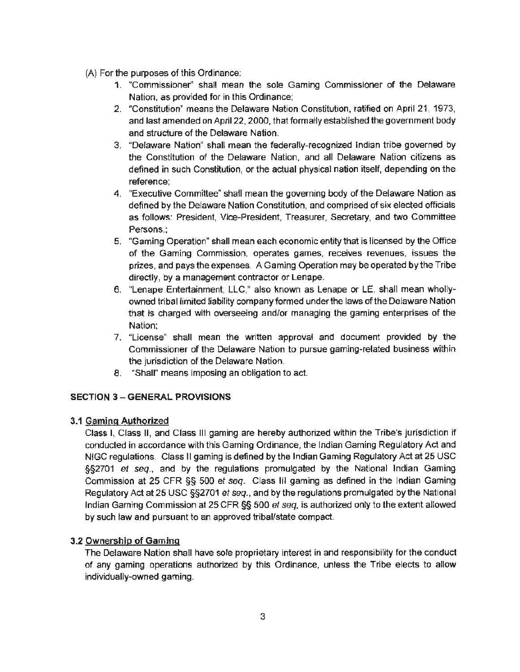# (A) For the purposes of this Ordinance:

- 1. "Commissioner'' shall mean the sole Gaming Commissioner of the Delaware Nation, as provided for in this Ordinance;
- 2. "Constitution" means the Delaware Nation Constitution, ratified on April 21, 1973, and last amended on April 22, 2000. that formally established the government body and structure of the Delaware Nation.
- 3. "Delaware Nation" shall mean the federally-recognized Indian tribe governed by the Constitution of the Delaware Nation, and all Delaware Nation citizens as defined in such Constitution, or the actual physical nation itself, depending on the reference;
- 4. "Executive Committee~ shall mean the governing body of the Delaware Nation as defined by the Delaware Nation Constitution, and comprised of six elected officials as follows: President, Vice-President, Treasurer, Secretary, and two Committee Persons.;
- 5. "Gaming Operation" shall mean each economic entity that is licensed by the Office of the Gaming Commission, operates games, receives revenues, issues the prizes. and pays the expenses. A Gaming Operation may be operated by the Tribe directly, by a management contractor or Lenape.
- 6. "Lenape Entertainment, LLC," also known as Lenape or LE, shall mean whollyowned tribal limited liability company formed under the laws of the Delaware Nation that is charged with overseeing and/or managing the gaming enterprises of the Nation;
- 7. "License" shall mean the written approval and document provided by the Commissioner of the Delaware Nation to pursue gaming~related business within the jurisdiction of the Delaware Nation.
- 8. "Shall" means imposing an obligation to act.

# SECTION 3 - GENERAL PROVISIONS

## 3.1 Gaming Authorized

Class I, Class II, and Class Ill gaming are hereby authorized within the Tribe's jurisdiction if conducted in accordance with this Gaming Ordinance, the Indian Gaming Regulatory Act and NIGC regulations. Class II gaming is defined by the Indian Gaming Regulatory Act at 25 USC §§2701 *et seq..* and by the regulations promulgated by the National Indian Gaming Commission at 25 CFR §§ 500 *et seq.* Class Ill gaming as defined in the Indian Gaming Regulatory Act at 25 USC §§2701 et seq., and by the regulations promulgated by the National Indian Gaming Commission at 25 CFR §§ 500 *et seq,* is authorized only to the extent allowed by such law and pursuant to an approved tribal/state compact.

## 3.2 Ownership of Gaming

The Delaware Nation shall have sole proprietary interest in and responsibility for the conduct of any gaming operations authorized by this Ordinance, unless the Tribe elects to allow individually-owned gaming.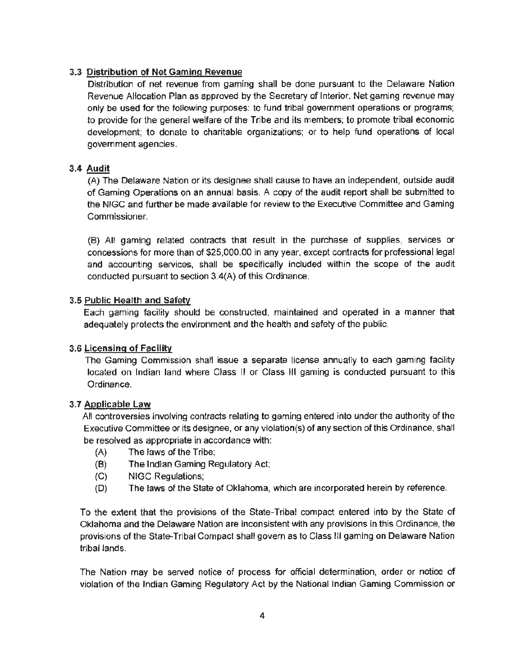# 3.3 Distribution of Net Gaming Revenue

Distribution of net revenue from gaming shall be done pursuant to the Delaware Nation Revenue Allocation Plan as approved by the Secretary of Interior. Net gaming revenue may only be used for the following purposes: to fund tribal government operations or programs; to provide for the general welfare of the Tribe and its members; to promote tribal economic development; to donate to charitable organizations; or to help fund operations of local government agencies.

# 3.4 Audit

(A) The Delaware Nation or its designee shall cause to have an independent, outside audit of Gaming Operations on an annual basis. A copy of the audit report shall be submitted to the NIGG and further be made available for review to the Executive Committee and Gaming Commissioner.

(B) All gaming related contracts that result in the purchase of supplies, services or concessions for more than of \$25,000.00 in any year, except contracts for professional legal and accounting services, shall be specifically included within the scope of the audit conducted pursuant to section 3.4(A) of this Ordinance.

## 3.5 Public Health and Safety

Each gaming facility should be constructed, maintained and operated in a manner that adequately protects the environment and the health and safety of the public.

# 3.6 Licensing of Facility

The Gaming Commission shall issue a separate license annually to each gaming facility located on Indian land where Class II or Class Ill gaming is conducted pursuant to this Ordinance.

# 3.7 Applicable Law

All controversies involving contracts relating to gaming entered into under the authority of the Executive Committee or its designee, or any violation{s) of any section of this Ordinance, shall be resolved as appropriate in accordance with:

- (A} The laws of the Tribe;
- (8) The Indian Gaming Regulatory Act;
- (G) NIGG Regulations;
- (D) The laws of the State of Oklahoma, which are incorporated herein by reference.

To the extent that the provisions of the State-Tribal compact entered into by the State of Oklahoma and the Delaware Nation are inconsistent with any provisions in this Ordinance, the provisions of the State-Tribal Compact shall govern as to Class Ill gaming on Delaware Nation tribal lands.

The Nation may be served notice of process for official determination, order or notice of violation of the Indian Gaming Regulatory Act by the National Indian Gaming Commission or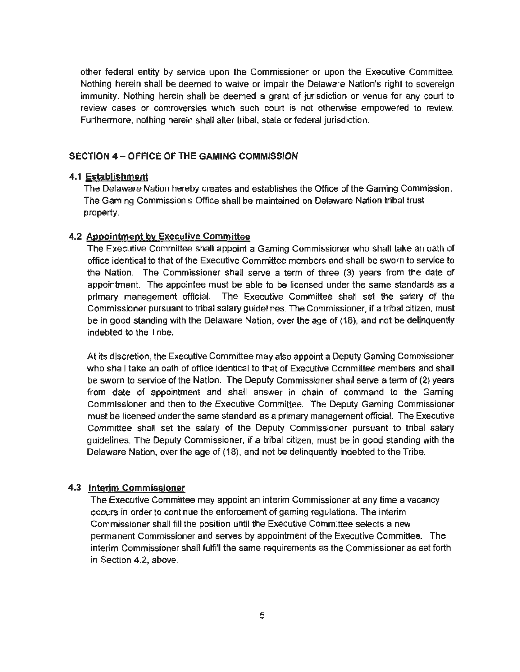other federal entity by service upon the Commissioner or upon the Executive Committee. Nothing herein shall be deemed to waive or impair the Delaware Nation's right to sovereign immunity. Nothing herein shall be deemed a grant of jurisdiction or venue for any court to review cases or controversies which such court is not otherwise empowered to review. Furthermore, nothing herein shall alter tribal, state or federal jurisdiction.

#### SECTION  $A =$  OFFICE OF THE GAMING COMMISSION

#### 4.1 Establishment

The Delaware Nation hereby creates and establishes the Office of the Gaming Commission. The Gaming Commission's Office shall be maintained on Delaware Nation tribal trust property.

#### 4.2 Appointment by Executive Committee

The Executive Committee shall appoint a Gaming Commissioner who shall take an oath of office identical to that of the Executive Committee members and shall be sworn to service to the Nation. The Commissioner shall serve a term of three (3) years from the date of appointment. The appointee must be able to be licensed under the same standards as a primary management official. The Executive Committee shall set the salary of the Commissioner pursuant to tribal salary guidelines. The Commissioner, if a tribal citizen. must be in good standing with the Delaware Nation, over the age of (18), and not be delinquently indebted to the Tribe.

At its discretion, the Executive Committee may also appoint a Deputy Gaming Commissioner who shall take an oath of office identical to that of Executive Committee members and shall be sworn to service of the Nation. The Deputy Commissioner shall serve a term of (2) years from date of appointment and shall answer in chain of command to the Gaming Commissioner and then to the Executive Committee. The Deputy Gaming Commissioner must be licensed under the same standard as a primary management official. The Executive Committee shall set the salary of the Deputy Commissioner pursuant to tribal salary guidelines. The Deputy Commissioner, if a tribal citizen, must be in good standing with the Delaware Nation, over the age of (18), and not be delinquently indebted to the Tribe.

## 4.3 Interim Commissioner

The Executive Committee may appoint an interim Commissioner at any time a vacancy occurs in order to continue the enforcement of gaming regulations. The interim Commissioner shall fill the position until the Executive Committee selects a new permanent Commissioner and serves by appointment of the Executive Committee. The interim Commissioner shall fulfill the same requirements as the Commissioner as set forth in Section 4.2, above.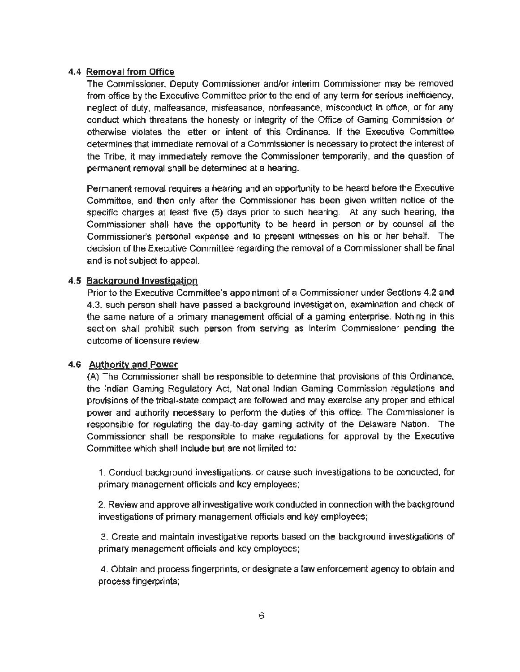## 4.4 Removal from Office

The Commissioner. Deputy Commissioner and/or interim Commissioner may be removed from office by the Executive Committee prior to the end of any term for serious inefficiency, neglect of duty, malfeasance, misfeasance, nonfeasance, misconduct in office, or for any conduct which threatens the honesty or integrity of the Office of Gaming Commission or otherwise violates the letter or intent of this Ordinance. If the Executive Committee determines that immediate removal of a Commissioner is necessary to protect the interest of the Tribe, it may immediately remove the Commissioner temporarily, and the question of permanent removal shall be determined at a hearing.

Permanent removal requires a hearing and an opportunity to be heard before the Executive Committee, and then only after the Commissioner has been given written notice of the specific charges at least five (5) days prior to such hearing. At any such hearing, the Commissioner shall have the opportunity to be heard in person or by counsel at the Commissioner's personal expense and to present witnesses on his or her behalf. The decision of the Executive Committee regarding the removal of a Commissioner shall be final and is not subject to appeal.

## 4.5 Background Investigation

Prior to the Executive Committee's appointment of a Commissioner under Sections 4.2 and 4.3, such person shall have passed a background investigation, examination and check of the same nature of a primary management official of a gaming enterprise. Nothing in this section shall prohibit such person from serving as interim Commissioner pending the outcome of licensure review.

## 4.6 Authority and Power

(A) The Commissioner shall be responsible to determine that provisions of this Ordinance, the Indian Gaming Regulatory Act, National Indian Gaming Commission regulations and provisions of the tribal-state compact are followed and may exercise any proper and ethical power and authority necessary to perform the duties of this office. The Commissioner is responsible for regulating the day-to-day gaming activity of the Delaware Nation. The Commissioner shall be responsible to make regulations for approval by the Executive Committee which shall include but are not limited to:

1. Conduct background investigations, or cause such investigations to be conducted, for primary management officials and key employees;

2. Review and approve all investigative work conducted in connection with the background investigations of primary management officials and key employees;

3. Create and maintain investigative reports based on the background investigations of primary management officials and key employees;

4. Obtain and process fingerprints. or designate a law enforcement agency to obtain and process fingerprints;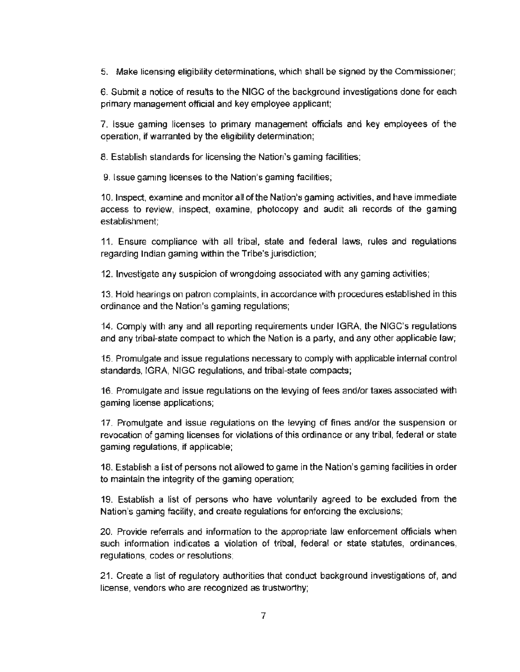5. Make licensing eligibility determinations, which shall be signed by the Commissioner;

6. Submit a notice of results to the NIGC of the background investigations done for each primary management official and key employee applicant;

7. Issue gaming licenses to primary management officials and key employees of the operation, if warranted by the eligibility determination;

8. Establish standards for licensing the Nation's gaming facilities;

9. Issue gaming licenses to the Nation's gaming facilities;

1 O. Inspect, examine and monitor all of the Nation's gaming activities, and have immediate access to review. inspect, examine, photocopy and audit all records of the gaming establishment;

11. Ensure compliance with all tribal, state and federal laws, rules and regulations regarding Indian gaming within the Tribe's jurisdiction;

12. Investigate any suspicion of wrongdoing associated with any gaming activities;

13. Hold hearings on patron complaints, in accordance with procedures established in this ordinance and the Nation's gaming regulations;

14. Comply with any and all reporting requirements under IGRA, the NIGC's regulations and any tribal-state compact to which the Nation is a party, and any other applicable law;

15. Promulgate and issue regulations necessary to comply with applicable internal control standards, IGRA, NIGC regulations, and tribal-state compacts;

16. Promulgate and issue regulations on the levying of fees and/or taxes associated with gaming license applications;

17. Promulgate and issue regulations on the levying of fines and/or the suspension or revocation of gaming licenses for violations of this ordinance or any tribal, federal or state gaming regulations, if applicable:

18. Establish a list of persons not allowed to game in the Nation's gaming facilities in order to maintain the integrity of the gaming operation;

19. Establish a list of persons who have voluntarily agreed to be excluded from the Nation's gaming facility, and create regulations for enforcing the exclusions;

20. Provide referrals and information to the appropriate law enforcement officials when such information indicates a violation of tribal, federal or state statutes, ordinances, regulations, codes or resolutions:

21. Create a list of regulatory authorities that conduct background investigations of, and license, vendors who are recognized as trustworthy;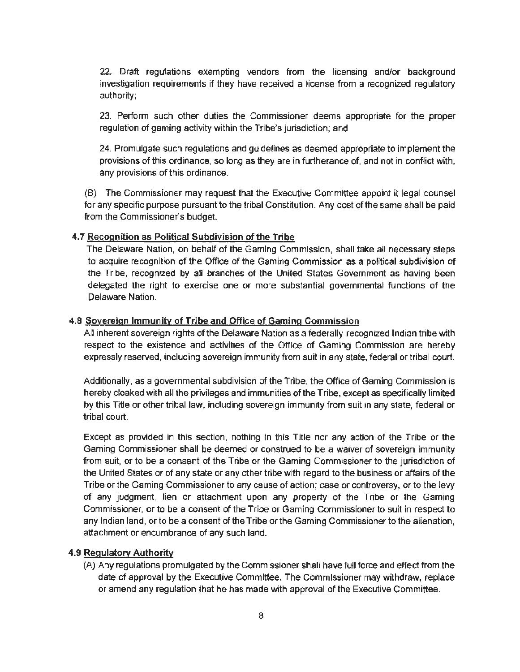22. Draft regulations exempting vendors from the licensing and/or background investigation requirements if they have received a license from a recognized regulatory authority;

23. Perform such other duties the Commissioner deems appropriate for the proper regulation of gaming activity within the Tribe's jurisdiction; and

24. Promulgate such regulations and guidelines as deemed appropriate to implement the provisions of this ordinance, so long as they are in furtherance of, and not in conflict with, any provisions of this ordinance.

(B) The Commissioner may request that the Executive Committee appoint it legal counsel for any specific purpose pursuant to the tribal Constitution. Any cost of the same shall be paid from the Commissioner's budget.

#### 4.7 Recognition as Political Subdivision of the Tribe

The Delaware Nation, on behalf of the Gaming Commission, shall take all necessary steps to acquire recognition of the Office of the Gaming Commission as a political subdivision of the Tribe, recognized by all branches of the United States Government as having been delegated the right to exercise one or more substantial governmental functions of the Delaware Nation.

#### 4.8 Sovereign Immunity of Tribe and Office of Gaming Commission

All inherent sovereign rights of the Delaware Nation as a federally-recognized Indian tribe with respect to the existence and activities of the Office of Gaming Commission are hereby expressly reserved, including sovereign immunity from suit in any state, federal or tribal court.

Additionally, as a governmental subdivision of the Tribe, the Office of Gaming Commission is hereby cloaked with all the privileges and immunities of the Tribe, except as specifically limited by this Title or other tribal law, including sovereign immunity from suit in any state, federal or tribal court.

Except as provided in this section, nothing in this Title nor any action of the Tribe or the Gaming Commissioner shall be deemed or construed to be a waiver of sovereign immunity from suit, or to be a consent of the Tribe or the Gaming Commissioner to the jurisdiction of the United States or of any state or any other tribe with regard to the business or affairs of the Tribe or the Gaming Commissioner to any cause of action; case or controversy, or to the levy of any judgment, lien or attachment upon any property of the Tribe or the Gaming Commissioner, or to be a consent of the Tribe or Gaming Commissioner to suit in respect to any Indian land, or to be a consent of the Tribe or the Gaming Commissioner to the alienation, attachment or encumbrance of any such land.

#### 4.9 Regulatory Authority

(A) Any regulations promulgated by the Commissioner shall have full force and effect from the date of approval by the Executive Committee, The Commissioner may withdraw, replace or amend any regulation that he has made with approval of the Executive Committee.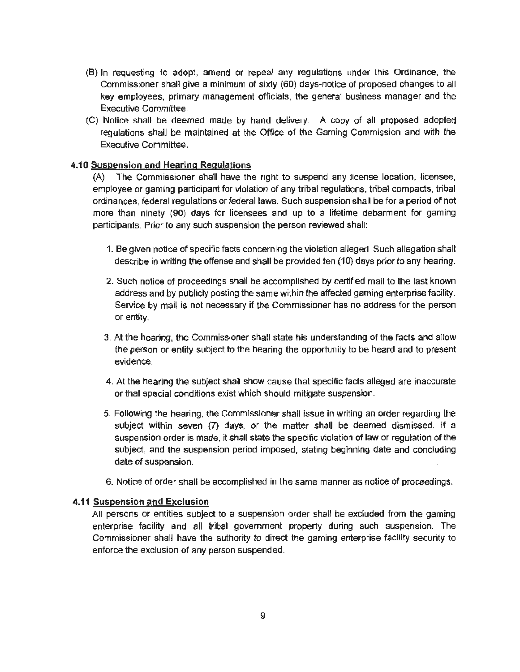- (B) In requesting to adopt, amend or repeal any regulations under this Ordinance, the Commissioner shall give a minimum of sixty (60) days·notice of proposed changes to all key employees, primary management officials, the general business manager and the Executive Committee.
- (C) Notice shall be deemed made by hand delivery. A copy of all proposed adopted regulations shall be maintained at the Office of the Gaming Commission and with the Executive Committee.

#### **4.10** Suspension and Hearing Regulations

(A) The Commissioner shall have the right to suspend any license location, licensee, employee or gaming participant for violation of any tribal regulations, tribal compacts. tribal ordinances, federal regulations or federal laws. Such suspension shall be for a period of not more than ninety (90) days for licensees and up to a lifetime debarment for gaming participants. Prior to any such suspension the person reviewed shall:

- 1. Be given notice of specific facts concerning the violation alleged. Such allegation shall describe in writing the offense and shall be provided ten (10) days prior to any hearing.
- 2. Such notice of proceedings shall be accomplished by certified mail to the last known address and by publicly posting the same within the affected gaming enterprise facility. Service by mail is not necessary if the Commissioner has no address for the person or entity.
- 3. At the hearing, the Commissioner shall state his understanding of the facts and allow the person or entity subject to the hearing the opportunity to be heard and to present evidence.
- 4. At the hearing the subject shall show cause that specific facts alleged are inaccurate or that special conditions exist which should mitigate suspension.
- 5. Following the hearing, the Commissioner shall issue in writing an order regarding the subject within seven (7) days, or the matter shall be deemed dismissed. If a suspension order is made, it shall state the specific violation of law or regulation of the subject, and the suspension period imposed, stating beginning date and concluding date of suspension.
- 6. Notice of order shall be accomplished in the same manner as notice of proceedings.

#### **4.11** Suspension and Exclusion

All persons or entities subject to a suspension order shall be excluded from the gaming enterprise facility and all tribal government property during such suspension. The Commissioner shall have the authority to direct the gaming enterprise facility security to enforce the exclusion of any person suspended.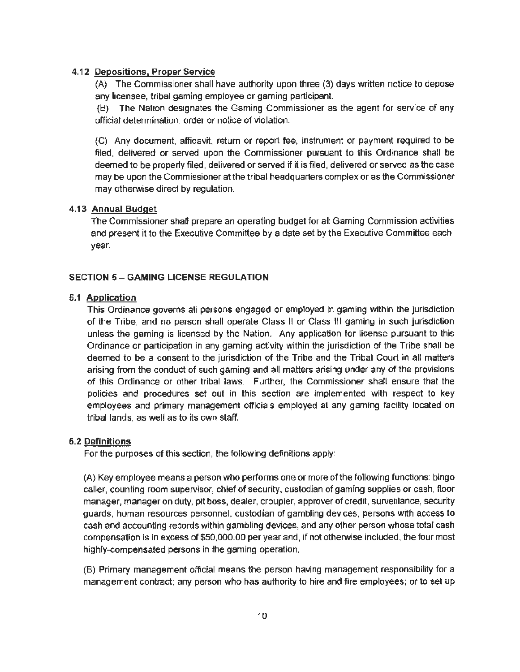#### 4.12 Depositions, Proper Service

(A) The Commissioner shall have authority upon three (3) days written notice to depose any licensee, tribal gaming employee or gaming participant.

(B) The Nation designates the Gaming Commissioner as the agent for service of any official determination. order or notice of violation.

(C) Any document, affidavit, return or report fee, instrument or payment required to be filed, delivered or served upon the Commissioner pursuant to this Ordinance shall be deemed to be properly filed, delivered or served if it is filed, delivered or served as the case may be upon the Commissioner at the tribal headquarters complex or as the Commissioner may otherwise direct by regulation.

## 4.13 Annual Budget

The Commissioner shall prepare an operating budget for alt Gaming Commission activities and present it to the Executive Committee by a date set by the Executive Committee each year.

## **SECTION 5 - GAMING LICENSE REGULATION**

#### 5.1 Application

This Ordinance governs all persons engaged or employed in gaming within the jurisdiction of the Tribe, and no person shall operate Class II or Class Ill gaming in such jurisdiction unless the gaming is licensed by the Nation. Any application for license pursuant to this Ordinance or participation in any gaming activity within the jurisdiction of the Tribe shall be deemed to be a consent to the jurisdiction of the Tribe and the Tribal Court in all matters arising from the conduct of such gaming and all matters arising under any of the provisions of this Ordinance or other tribal laws. Further, the Commissioner shall ensure that the policies and procedures set out in this section are implemented with respect to key employees and primary management officials employed at any gaming facility located on tribal lands, as well as to its own staff.

## 5.2 Definitions

For the purposes of this section, the following definitions apply:

(A) Key employee means a person who performs one or more of the following functions: bingo caller, counting room supervisor, chief of security, custodian of gaming supplies or cash. floor manager, manager on duty, pit boss, dealer, croupier, approver of credit, surveillance, security guards, human resources personnel, custodian of gambling devices, persons with access to cash and accounting records within gambling devices, and any other person whose total cash compensation is in excess of \$50,000.00 per year and, if not otherwise included, the four most highly-compensated persons in the gaming operation.

(B) Primary management official means the person having management responsibility for a management contract; any person who has authority to hire and fire employees; or to set up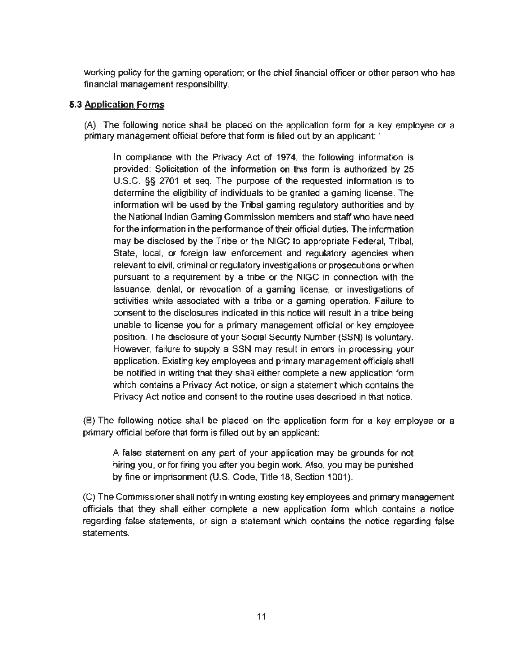working policy for the gaming operation; or the chief financial officer or other person who has financial management responsibility.

## **5.3 Application Forms**

(A) The following notice shall be placed on the application form for a key employee or a primary management official before that form is filled out by an applicant: '

In compliance with the Privacy Act of 1974, the following information is provided: Solicitation of the information on this form is authorized by 25 U.S.C. §§ 2701 et seq. The purpose of the requested information is to determine the eligibility of individuals to be granted a gaming license. The information will be used by the Tribal gaming regulatory authorities and by the National Indian Gaming Commission members and staff who have need for the information in the performance of their official duties. The information may be disclosed by the Tribe or the NIGC to appropriate Federal, Tribal, State, local, or foreign law enforcement and regulatory agencies when relevant to civil, criminal or regulatory investigations or prosecutions or when pursuant to a requirement by a tribe or the NIGC in connection with the issuance, denial, or revocation of a gaming license, or investigations of activities while associated with a tribe or a gaming operation. Failure to consent to the disclosures indicated in this notice will result in a tribe being unable to license you for a primary management official or key employee position. The disclosure of your Social Security Number (SSN) is voluntary. However, failure to supply a SSN may result in errors in processing your application. Existing key employees and primary management officials shall be notified in writing that they shall either complete a new application form which contains a Privacy Act notice, or sign a statement which contains the Privacy Act notice and consent to the routine uses described in that notice.

(B) The following notice shall be placed on the application form for a key employee or a primary official before that form is filled out by an applicant:

A false statement on any part of your application may be grounds for not hiring you, or for firing you after you begin work. Also, you may be punished by fine or imprisonment (U.S. Code, Title 18, Section 1001).

(C) The Commissioner shall notify in writing existing key employees and primary management officials that they shall either complete a new application form which contains a notice regarding false statements, or sign a statement which contains the notice regarding false statements.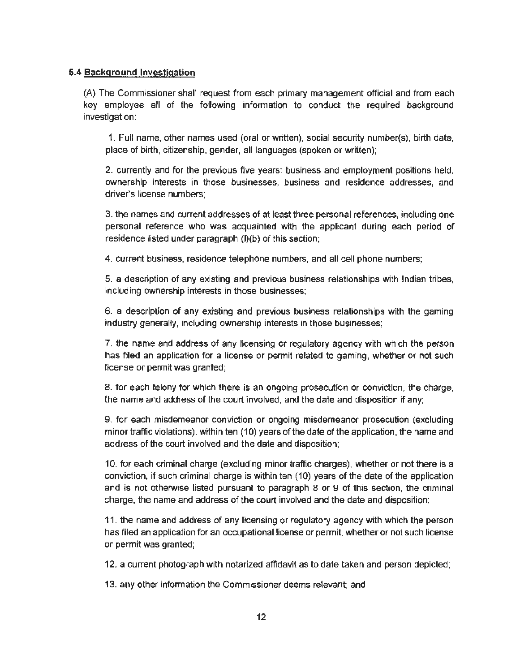#### 5.4 Background Investigation

(A} The Commissioner shall request from each primary management official and from each key employee all of the following infonnation to conduct the required background investigation:

1. Full name, other names used (oral or written), social security number(s). birth date, place of birth, citizenship, gender, all languages (spoken or written);

2. currently and for the previous five years: business and employment positions held, ownership interests in those businesses, business and residence addresses, and driver's license numbers;

3. the names and current addresses of at least three personal references, including one personal reference who was acquainted with the applicant during each period of residence listed under paragraph (l)(b) of this section;

4. current business, residence telephone numbers, and all cell phone numbers;

5. a description of any existing and previous business relationships with Indian tribes, including ownership interests in those businesses;

6. a description of any existing and previous business relationships with the gaming industry generally, including ownership interests in those businesses;

7. the name and address of any licensing or regulatory agency with which the person has filed an application for a license or permit related to gaming, whether or not such license or permit was granted;

8. for each felony for which there is an ongoing prosecution or conviction, the charge, the name and address of the court involved, and the date and disposition if any;

9. for each misdemeanor conviction or ongoing misdemeanor prosecution (excluding minor traffic violations), within ten (10) years of the date of the application. the name and address of the court involved and the date and disposition;

10. for each criminal charge (excluding minor traffic charges), whether or not there is a conviction, if such criminal charge is within ten (10) years of the date of the application and is not otherwise listed pursuant to paragraph 8 or 9 of this section, the criminal charge, the name and address of the court involved and the date and disposition;

11. the name and address of any licensing or regulatory agency with which the person has filed an application for an occupational license or permit, whether or not such license or permit was granted;

12. a current photograph with notarized affidavit as to date taken and person depicted;

13. any other information the Commissioner deems relevant; and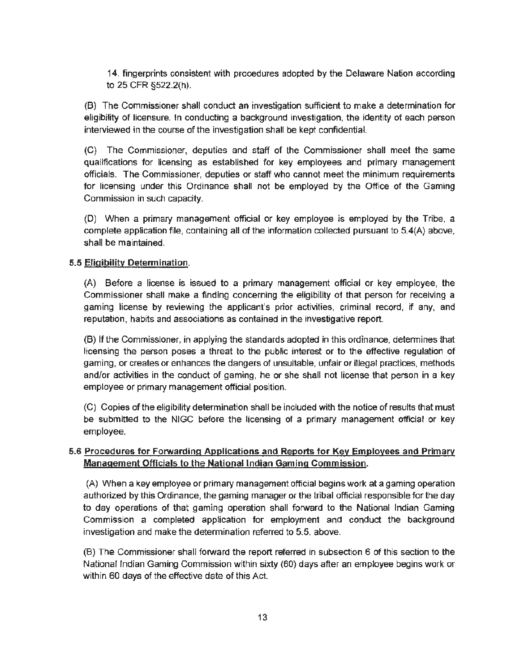14. fingerprints consistent with procedures adopted by the Delaware Nation according to 25 CFR §522.2(h).

{B) The Commissioner shall conduct an investigation sufficient to make a determination for eligibility of licensure. In conducting a background investigation, the identity of each person interviewed in the course of the investigation shall be kept confidential.

(C) The Commissioner, deputies and staff of the Commissioner shall meet the same qualifications for licensing as established for key employees and primary management officials. The Commissioner, deputies or staff who cannot meet the minimum requirements for licensing under this Ordinance shall not be employed by the Office of the Gaming Commission in such capacity.

(D) When a primary management official or key employee is employed by the Tribe. a complete application file, containing all of the information collected pursuant to 5.4(A) above, shall be maintained.

## 5.5 Eligibility Determination.

(A) Before a license is issued to a primary management official or key employee, the Commissioner shall make a finding concerning the eligibility of that person for receiving a gaming license by reviewing the applicant's prior activities, criminal record, if any, and reputation, habits and associations as contained in the investigative report.

(8) If the Commissioner, in applying the standards adopted in this ordinance, determines that licensing the person poses a threat to the public interest or to the effective regulation of gaming, or creates or enhances the dangers of unsuitable, unfair or illegal practices, methods and/or activities in the conduct of gaming. he or she shall not license that person in a key employee or primary management official position.

(C) Copies of the eligibility determination shall be included with the notice of results that must be submitted to the NIGC before the licensing of a primary management official or key employee.

# 5.6 Procedures for Forwarding Applications and Reports for Key Employees and Primary Management Officials to the National Indian Gaming Commission.

(A) When a key employee or primary management official begins work at a gaming operation authorized by this Ordinance, the gaming manager or the tribal official responsible for the day to day operations of that gaming operation shall forward to the National Indian Gaming Commission a completed application for employment and conduct the background investigation and make the determination referred to 5.5, above.

(8) The Commissioner shall forward the report referred in subsection 6 of this section to the National Indian Gaming Commission within sixty {60) days after an employee begins work or within 60 days of the effective date of this Act.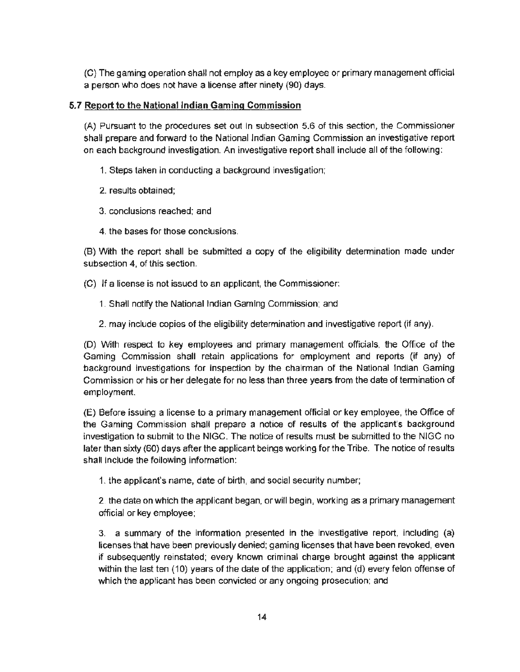(C) The gaming operation shall not employ as a key employee or primary management official a person who does not have a license after ninety (90) days.

# 5.7 **Report to the National Indian Gaming Commission**

(A) Pursuant to the procedures set out in subsection 5.6 of this section, the Commissioner shall prepare and forward to the National Indian Gaming Commission an investigative report on each background investigation. An investigative report shall include all of the following:

- 1. Steps taken in conducting a background investigation;
- 2. results obtained;
- 3. conclusions reached; and
- 4. the bases for those conclusions.

(B) With the report shall be submitted a copy of the eligibility determination made under subsection 4, of this section.

(C) If a license is not issued to an applicant, the Commissioner:

- 1. Shall notify the National Indian Gaming Commission; and
- 2. may include copies of the eligibility determination and investigative report (if any).

(D) With respect to key employees and primary management officials, the Office of the Gaming Commission shall retain applications for employment and reports (if any) of background investigations for inspection by the chairman of the National Indian Gaming Commission or his or her delegate for no less than three years from the date of termination of employment.

(E) Before issuing a license to a primary management official or key employee, the Office of the Gaming Commission shall prepare a notice of results of the applicant's background investigation to submit to the NIGC. The notice of results must be submitted to the NIGC no later than sixty (60) days after the applicant beings working for the Tribe. The notice of results shall include the following information:

1. the applicant's name, date of birth, and social security number;

2. the date on which the applicant began, or will begin, working as a primary management official or key employee;

3. a summary of the information presented in the investigative report, including {a) licenses that have been previously denied; gaming licenses that have been revoked, even if subsequently reinstated; every known criminal charge brought against the applicant within the last ten  $(10)$  years of the date of the application; and  $(d)$  every felon offense of which the applicant has been convicted or any ongoing prosecution; and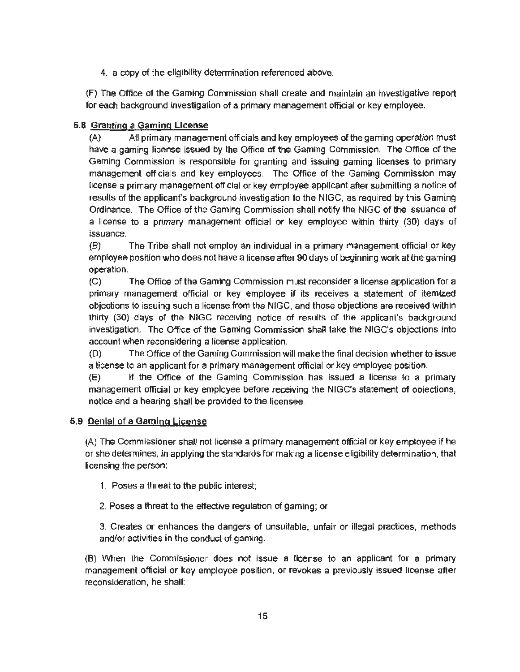4. a copy of the eligibility determination referenced above.

(F) The Office of the Gaming Commission shall create and maintain an investigative report for each background investigation of a primary management official or key employee.

# 5.8 Granting a Gaming License

(A) AU primary management officials and key employees of the gaming operation must have a gaming license issued by the Office of the Gaming Commission. The Office of the Gaming Commission is responsible for granting and issuing gaming licenses to primary management officials and key employees. The Office of the Gaming Commission may license a primary management official or key employee applicant after submitting a notice of results of the applicant's background investigation to the NIGG, as required by this Gaming Ordinance. The Office of the Gaming Commission shall notify the NIGC of the issuance of a license to a primary management official or key employee within thirty (30) days of issuance.

(B) The Tribe shall not employ an individual in a primary management official or key employee position who does not have a license after 90 days of beginning work at the gaming operation.

(C) The Office of the Gaming Commission must reconsider a license application for a primary management official or key employee if its receives a statement of itemized objections to issuing such a license from the NIGG, and those objections are received within thirty (30) days of the NIGC receiving notice of results of the applicant's background investigation. The Office of the Gaming Commission shall take the NIGC's objections into account when reconsidering a license application.

(0) The Office of the Gaming Commission will make the final decision whether to issue a license to an applicant for a primary management official or key employee position.

(E) If the Office of the Gaming Commission has issued a license to a primary management official or key employee before receiving the NIGC's statement of objections, notice and a hearing shall be provided to the licensee.

# 5.9 Denial of a Gaming License

(A) The Commissioner shall not license a primary management official or key employee if he or she determines, in applying the standards for making a license eligibility determination, that licensing the person:

- 1. Poses a threat to the public interest;
- 2. Poses a threat to the effective regulation of gaming; or

3. Creates or enhances the dangers of unsuitable, unfair or illegal practices, methods and/or activities in the conduct of gaming.

(8) When the Commissioner does not issue a license to an applicant for a primary management official or key employee position, or revokes a previously issued license after reconsideration, he shall: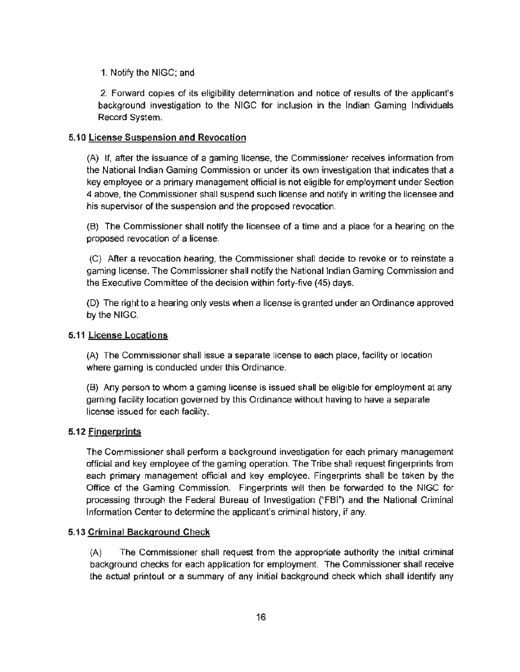## 1. Notify the NIGC; and

2. Forward copies of its eligibility determination and notice of results of the applicant's background investigation to the NIGC for inclusion in the Indian Gaming Individuals Record System.

## 5.10 License Suspension and Revocation

(A) If, after the issuance of a gaming license, the Commissioner receives information from the National Indian Gaming Commission or under its own investigation that indicates that a key employee or a primary management official is not eligible for employment under Section 4 above, the Commissioner shall suspend such license and notify in writing the licensee and his supervisor of the suspension and the proposed revocation.

{B) The Commissioner shall notify the licensee of a time and a place for a hearing on the proposed revocation of a license.

{C} After a revocation hearing, the Commissioner shall decide to revoke or to reinstate a gaming license. The Commissioner shall notify the National Indian Gaming Commission and the Executive Committee of the decision within forty-five (45) days.

(D) The right to a hearing only vests when a license is granted under an Ordinance approved by the NIGG.

## 5.11 License Locations

(A) The Commissioner shall issue a separate license to each place, facility or location where gaming is conducted under this Ordinance.

(B) Any person to whom a gaming license is issued shall be eligible for employment at any gaming facility location governed by this Ordinance without having to have a separate license issued for each facility.

## 5.12 Fingerprints

The Commissioner shall perform a background investigation for each primary management official and key employee of the gaming operation. The Tribe shall request fingerprints from each primary management official and key employee. Fingerprints shall be taken by the Office of the Gaming Commission. Fingerprints will then be forwarded to the NIGC for processing through the Federal Bureau of Investigation ("FBr) and the National Criminal Information Center to determine the applicant's criminal history, if any.

## 5.13 Criminal Background Check

(A) The Commissioner shall request from the appropriate authority the initial criminal background checks for each application for employment. The Commissioner shall receive the actual printout or a summary of any initial background check which shall identify any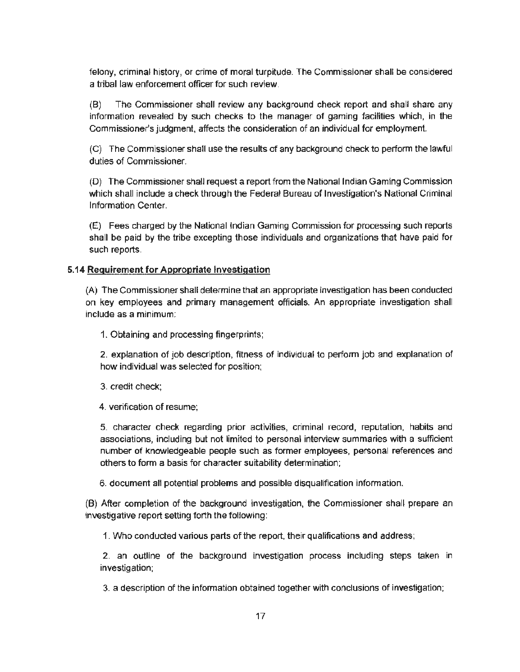felony, criminal history, or crime of moral turpitude. The Commissioner shall be considered a tribal law enforcement officer for such review.

(B) The Commissioner shall review any background check report and shall share any information revealed by such checks to the manager of gaming facilities which, in the Commissioner's judgment, affects the consideration of an individual for employment.

(C) The Commissioner shall use the results of any background check to perform the lawful duties of Commissioner.

(0) The Commissioner shall request a report from the National Indian Gaming Commission which shall include a check through the Federal Bureau of Investigation's National Criminal Information Center.

(E) Fees charged by the National Indian Gaming Commission for processing such reports shall be paid by the tribe excepting those individuals and organizations that have paid for such reports.

#### **5.14 Requirement for Appropriate Investigation**

(A) The Commissioner shall determine that an appropriate investigation has been conducted on key employees and primary management officials. An appropriate investigation shall include as a minimum:

1. Obtaining and processing fingerprints;

2. explanation of job description, fitness of individual to perform job and explanation of how individual was selected for position;

3. credit check;

4. verification of resume;

5. character check regarding prior activities, criminal record, reputation, habits and associations, including but not limited to personal interview summaries with a sufficient number of knowledgeable people such as former employees, personal references and others to form a basis for character suitability determination;

6. document all potential problems and possible disqualification information.

(B) After completion of the background investigation, the Commissioner shall prepare an investigative report setting forth the following:

1. Who conducted various parts of the report, their qualifications and address;

2. an outline of the background investigation process including steps taken in investigation;

3. a description of the information obtained together with conclusions of investigation;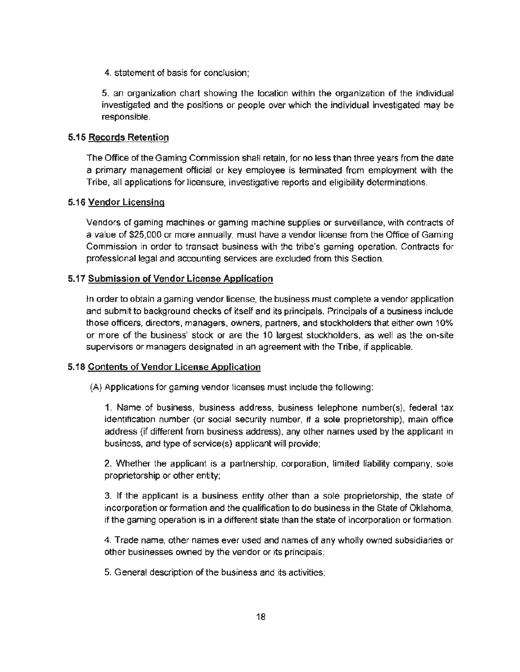4. statement of basis for conclusion;

5. an organization chart showing the location within the organization of the individual investigated and the positions or people over which the individual investigated may be responsible.

#### 5.15 Records Retention

The Office of the Gaming Commission shall retain, for no less than three years from the date a primary management official or key employee is terminated from employment with the Tribe, all applications for licensure, investigative reports and eligibility determinations.

#### 5.16 Vendor Licensing

Vendors of gaming machines or gaming machine supplies or surveillance, with contracts of a value of \$25,000 or more annually, must have a vendor license from the Office of Gaming Commission in order to transact business with the tribe's gaming operation. Contracts for professional legal and accounting services are excluded from this Section.

#### 5.17 Submission of Vendor License Application

In order to obtain a gaming vendor license, the business must complete a vendor application and submit to background checks of itself and its principals. Principals of a business include those officers, directors, managers. owners, partners, and stockholders that either own 10% or more of the business' stock or are the 10 largest stockholders, as well as the on-site supervisors or managers designated in an agreement with the Tribe, if applicable.

#### 5.18 Contents of Vendor License Application

(A) Applications for gaming vendor licenses must include the following:

1. Name of business, business address, business telephone number(s}, federal tax identification number (or social security number, if a sole proprietorship), main office address (if different from business address), any other names used by the applicant in business, and type of service(s) applicant will provide;

2. Whether the applicant is a partnership, corporation, limited liability company, sole proprietorship or other entity;

3. If the applicant is a business entity other than a sole proprietorship, the state of incorporation or formation and the qualification to do business in the State of Oklahoma, if the gaming operation is in a different state than the state of incorporation or formation.

4. Trade name, other names ever used and names of any wholly owned subsidiaries or other businesses owned by the vendor or its principals;

5. General description of the business and its activities;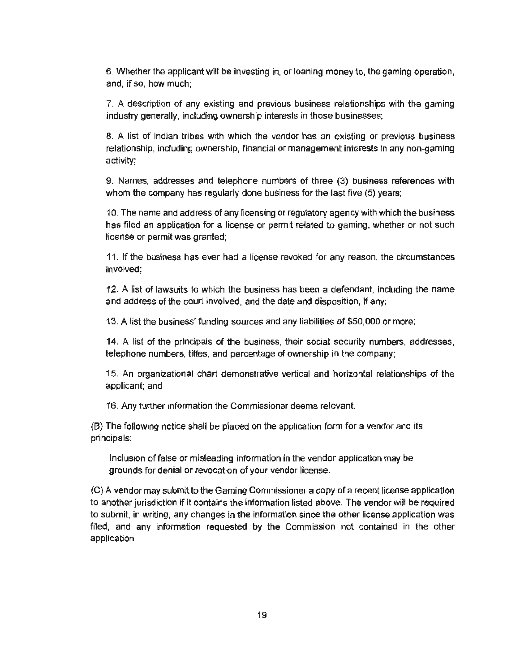6. Whether the applicant will be Investing in, or loaning money to, the gaming operation, and, if so, how much;

7. A description of any existing and previous business relationships with the gaming industry generally, including ownership interests in those businesses;

8. A list of Indian tribes with which the vendor has an existing or previous business relationship, including ownership, financial or management interests in any non-gaming activity;

9. Names. addresses and telephone numbers of three (3) business references with whom the company has regularly done business for the last five (5) years;

10. The name and address of any licensing or regulatory agency with which the business has filed an application for a license or permit related to gaming, whether or not such license or permit was granted;

11. Jf the business has ever had a license revoked for any reason, the circumstances involved;

12. A list of lawsuits to which the business has been a defendant, including the name and address of the court involved, and the date and disposition, if any;

13. A tist the business' funding sources and any liabilities of \$50,000 or more;

14. A list of the principals of the business, their social security numbers, addresses, telephone numbers, titles, and percentage of ownership in the company;

15. An organizational chart demonstrative vertical and horizontal relationships of the applicant; and

16. Any further information the Commissioner deems relevant.

(B) The following notice shall be placed on the application form for a vendor and its principals:

Inclusion of false or misleading information in the vendor application may be grounds for denial or revocation of your vendor license.

(C) A vendor may submit to the Gaming Commissioner a copy of a recent license application to another jurisdiction if it contains the information listed above. The vendor will be required to submit, in writing, any changes in the information since the other license application was filed, and any information requested by the Commission not contained in the other application.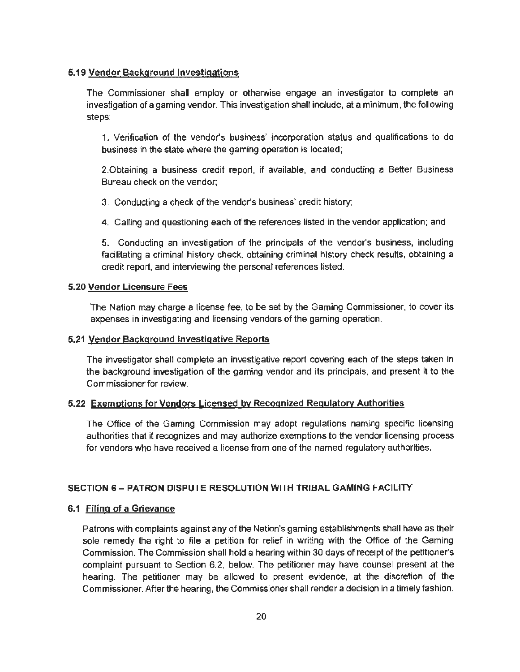## 5.19 Vendor Background Investigations

The Commissioner shall employ or otherwise engage an investigator to complete an investigation of a gaming vendor. This investigation shall include, at a minimum, the following steps:

1. Verification of the vendor's business' incorporation status and qualifications to do business in the state where the gaming operation is located;

2.0btaining a business credit report, if available, and conducting a Better Business Bureau check on the vendor;

3. Conducting a check of the vendor's business' credit history;

4. Calling and questioning each of the references listed in the vendor application; and

5. Conducting an investigation of the principals of the vendor's business, including facilitating a criminal history check, obtaining criminal history check results, obtaining a credit report, and interviewing the personal references listed.

## 5.20 Vendor Licensure Fees

The Nation may charge a license fee, to be set by the Gaming Commissioner, to cover its expenses in investigating and licensing vendors of the gaming operation.

## 5.21 Vendor Background Investigative Reports

The investigator shall complete an investigative report covering each of the steps taken in the background investigation of the gaming vendor and its principals, and present it to the Commissioner for review.

# 5.22 Exemptions for Vendors Licensed by Recognized Regulatory Authorities

The Office of the Gaming Commission may adopt regulations naming specific licensing authorities that it recognizes and may authorize exemptions to the vendor licensing process for vendors who have received a license from one of the named regulatory authorities.

# SECTION 6 - PATRON DISPUTE RESOLUTION WITH TRIBAL GAMING FACILITY

# 6.1 Filing of a Grievance

Patrons with complaints against any of the Nation's gaming establishments shall have as their sole remedy the right to file a petition for relief in writing with the Office of the Gaming Commission. The Commission shall hold a hearing within 30 days of receipt of the petitioner's complaint pursuant to Section 6.2, below. The petitioner may have counsel present at the hearing. The petitioner may be allowed to present evidence, at the discretion of the Commissioner. After the hearing, the Commissioner shall render a decision in a timely fashion.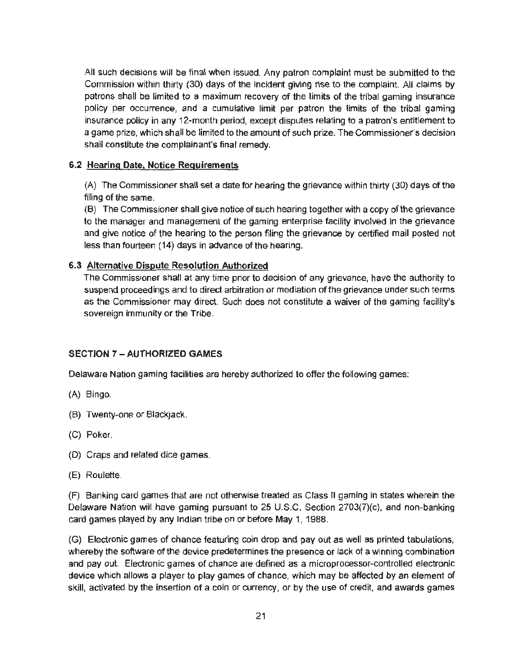All such decisions will be final when issued. Any patron complaint must be submitted to the Commission within thirty (30) days of the incident giving rise to the complaint. All claims by patrons shall be limited to a maximum recovery of the limits of the tribal gaming insurance policy per occurrence, and a cumulative limit per patron the limits of the tribal gaming insurance policy in any 12-month period, except disputes relating to a patron's entitlement to a game prize, which shall be limited to the amount of such prize. The Commissioner's decision shall constitute the complainant's final remedy.

## 6.2 Hearing Date, Notice Requirements

(A) The Commissioner shall set a date for hearing the grievance within thirty (30) days of the filing of the same.

(8) The Commissioner shall give notice of such hearing together with a copy of the grievance to the manager and management of the gaming enterprise facility involved in the grievance and give notice of the hearing to the person filing the grievance by certified mail posted not less than fourteen (14) days in advance of the hearing.

## 6.3 Alternative Dispute Resolution Authorized

The Commissioner shall at any time prior to decision of any grievance, have the authority to suspend proceedings and to direct arbitration or mediation of the grievance under such terms as the Commissioner may direct. Such does not constitute a waiver of the gaming facility's sovereign immunity or the Tribe.

# SECTION 7 - AUTHORIZED GAMES

Delaware Nation gaming facilities are hereby authorized to offer the following games:

- (A) Bingo.
- (B) Twenty~one or Blackjack.
- (C) Poker.
- (D) Craps and related dice games.
- (E) Roulette.

{F) Banking card games that are not otherwise treated as Class II gaming in states wherein the Delaware Nation will have gaming pursuant to 25 U.S.C. Section 2703(7)(c), and non-banking card games played by any Indian tribe on or before May 1, 1988.

{G) Electronic games of chance featuring coin drop and pay out as well as printed tabulations, whereby the software of the device predetermines the presence or lack of a winning combination and pay out. Electronic games of chance are defined as a microprocessor-controlled electronic device which allows a player to play games of chance, which may be affected by an element of skill, activated by the insertion of a coin or currency, or by the use of credit, and awards games